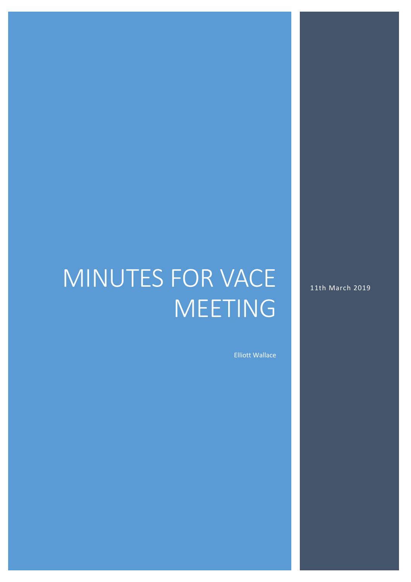# MINUTES FOR VACE MEETING

11th March 2019

Elliott Wallace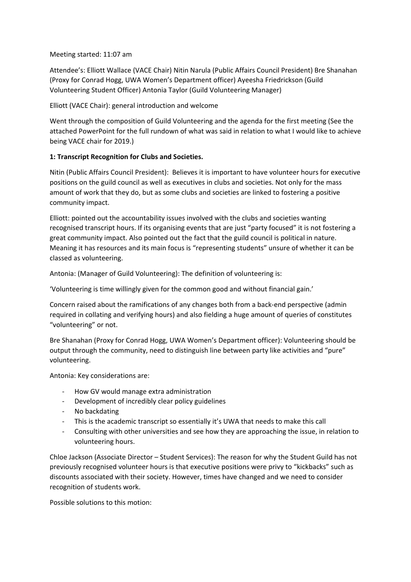#### Meeting started: 11:07 am

Attendee's: Elliott Wallace (VACE Chair) Nitin Narula (Public Affairs Council President) Bre Shanahan (Proxy for Conrad Hogg, UWA Women's Department officer) Ayeesha Friedrickson (Guild Volunteering Student Officer) Antonia Taylor (Guild Volunteering Manager)

#### Elliott (VACE Chair): general introduction and welcome

Went through the composition of Guild Volunteering and the agenda for the first meeting (See the attached PowerPoint for the full rundown of what was said in relation to what I would like to achieve being VACE chair for 2019.)

#### **1: Transcript Recognition for Clubs and Societies.**

Nitin (Public Affairs Council President): Believes it is important to have volunteer hours for executive positions on the guild council as well as executives in clubs and societies. Not only for the mass amount of work that they do, but as some clubs and societies are linked to fostering a positive community impact.

Elliott: pointed out the accountability issues involved with the clubs and societies wanting recognised transcript hours. If its organising events that are just "party focused" it is not fostering a great community impact. Also pointed out the fact that the guild council is political in nature. Meaning it has resources and its main focus is "representing students" unsure of whether it can be classed as volunteering.

Antonia: (Manager of Guild Volunteering): The definition of volunteering is:

'Volunteering is time willingly given for the common good and without financial gain.'

Concern raised about the ramifications of any changes both from a back‐end perspective (admin required in collating and verifying hours) and also fielding a huge amount of queries of constitutes "volunteering" or not.

Bre Shanahan (Proxy for Conrad Hogg, UWA Women's Department officer): Volunteering should be output through the community, need to distinguish line between party like activities and "pure" volunteering.

Antonia: Key considerations are:

- ‐ How GV would manage extra administration
- ‐ Development of incredibly clear policy guidelines
- ‐ No backdating
- This is the academic transcript so essentially it's UWA that needs to make this call
- ‐ Consulting with other universities and see how they are approaching the issue, in relation to volunteering hours.

Chloe Jackson (Associate Director – Student Services): The reason for why the Student Guild has not previously recognised volunteer hours is that executive positions were privy to "kickbacks" such as discounts associated with their society. However, times have changed and we need to consider recognition of students work.

Possible solutions to this motion: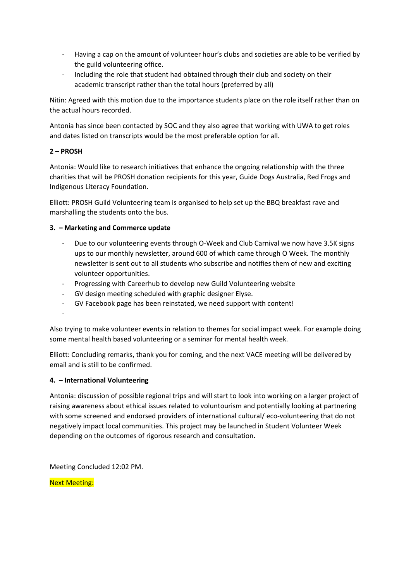- ‐ Having a cap on the amount of volunteer hour's clubs and societies are able to be verified by the guild volunteering office.
- ‐ Including the role that student had obtained through their club and society on their academic transcript rather than the total hours (preferred by all)

Nitin: Agreed with this motion due to the importance students place on the role itself rather than on the actual hours recorded.

Antonia has since been contacted by SOC and they also agree that working with UWA to get roles and dates listed on transcripts would be the most preferable option for all.

#### **2 – PROSH**

Antonia: Would like to research initiatives that enhance the ongoing relationship with the three charities that will be PROSH donation recipients for this year, Guide Dogs Australia, Red Frogs and Indigenous Literacy Foundation.

Elliott: PROSH Guild Volunteering team is organised to help set up the BBQ breakfast rave and marshalling the students onto the bus.

#### **3. – Marketing and Commerce update**

- Due to our volunteering events through O-Week and Club Carnival we now have 3.5K signs ups to our monthly newsletter, around 600 of which came through O Week. The monthly newsletter is sent out to all students who subscribe and notifies them of new and exciting volunteer opportunities.
- ‐ Progressing with Careerhub to develop new Guild Volunteering website
- ‐ GV design meeting scheduled with graphic designer Elyse.
- ‐ GV Facebook page has been reinstated, we need support with content!
- ‐

Also trying to make volunteer events in relation to themes for social impact week. For example doing some mental health based volunteering or a seminar for mental health week.

Elliott: Concluding remarks, thank you for coming, and the next VACE meeting will be delivered by email and is still to be confirmed.

#### **4. – International Volunteering**

Antonia: discussion of possible regional trips and will start to look into working on a larger project of raising awareness about ethical issues related to voluntourism and potentially looking at partnering with some screened and endorsed providers of international cultural/ eco-volunteering that do not negatively impact local communities. This project may be launched in Student Volunteer Week depending on the outcomes of rigorous research and consultation.

Meeting Concluded 12:02 PM.

Next Meeting: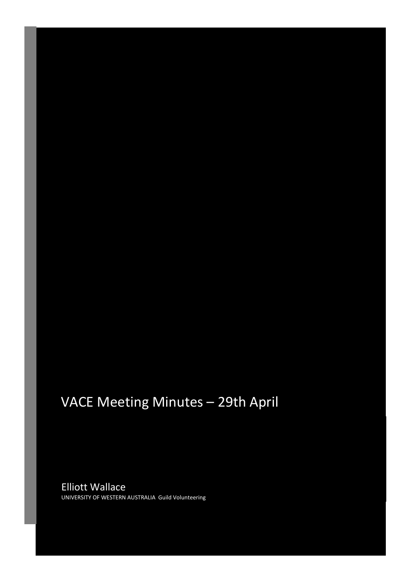## VACE Meeting Minutes – 29th April

Elliott Wallace UNIVERSITY OF WESTERN AUSTRALIA Guild Volunteering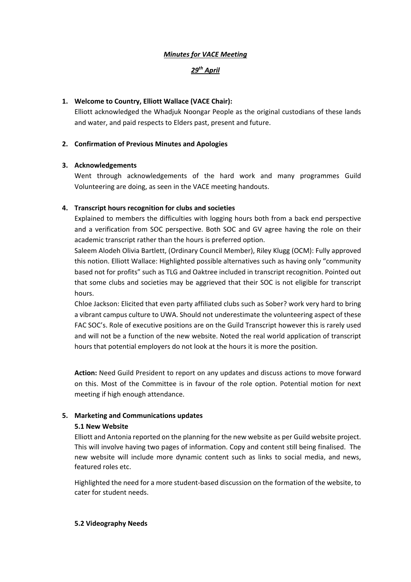#### *Minutes for VACE Meeting*

#### *29th April*

#### **1. Welcome to Country, Elliott Wallace (VACE Chair):**

Elliott acknowledged the Whadjuk Noongar People as the original custodians of these lands and water, and paid respects to Elders past, present and future.

#### **2. Confirmation of Previous Minutes and Apologies**

#### **3. Acknowledgements**

Went through acknowledgements of the hard work and many programmes Guild Volunteering are doing, as seen in the VACE meeting handouts.

#### **4. Transcript hours recognition for clubs and societies**

Explained to members the difficulties with logging hours both from a back end perspective and a verification from SOC perspective. Both SOC and GV agree having the role on their academic transcript rather than the hours is preferred option.

Saleem Alodeh Olivia Bartlett, (Ordinary Council Member), Riley Klugg (OCM): Fully approved this notion. Elliott Wallace: Highlighted possible alternatives such as having only "community based not for profits" such as TLG and Oaktree included in transcript recognition. Pointed out that some clubs and societies may be aggrieved that their SOC is not eligible for transcript hours.

Chloe Jackson: Elicited that even party affiliated clubs such as Sober? work very hard to bring a vibrant campus culture to UWA. Should not underestimate the volunteering aspect of these FAC SOC's. Role of executive positions are on the Guild Transcript however this is rarely used and will not be a function of the new website. Noted the real world application of transcript hours that potential employers do not look at the hours it is more the position.

**Action:** Need Guild President to report on any updates and discuss actions to move forward on this. Most of the Committee is in favour of the role option. Potential motion for next meeting if high enough attendance.

#### **5. Marketing and Communications updates**

#### **5.1 New Website**

Elliott and Antonia reported on the planning for the new website as per Guild website project. This will involve having two pages of information. Copy and content still being finalised. The new website will include more dynamic content such as links to social media, and news, featured roles etc.

Highlighted the need for a more student‐based discussion on the formation of the website, to cater for student needs.

#### **5.2 Videography Needs**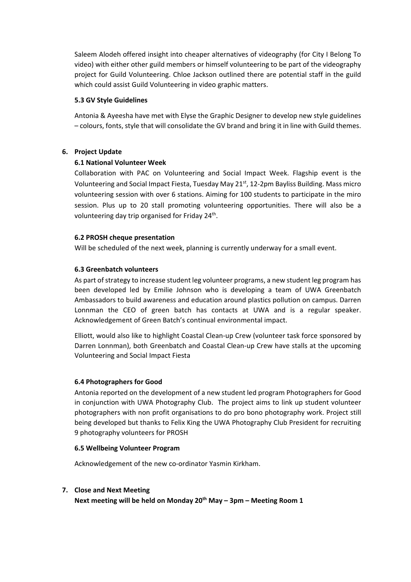Saleem Alodeh offered insight into cheaper alternatives of videography (for City I Belong To video) with either other guild members or himself volunteering to be part of the videography project for Guild Volunteering. Chloe Jackson outlined there are potential staff in the guild which could assist Guild Volunteering in video graphic matters.

#### **5.3 GV Style Guidelines**

Antonia & Ayeesha have met with Elyse the Graphic Designer to develop new style guidelines – colours, fonts, style that will consolidate the GV brand and bring it in line with Guild themes.

#### **6. Project Update**

#### **6.1 National Volunteer Week**

Collaboration with PAC on Volunteering and Social Impact Week. Flagship event is the Volunteering and Social Impact Fiesta, Tuesday May 21st, 12‐2pm Bayliss Building. Mass micro volunteering session with over 6 stations. Aiming for 100 students to participate in the miro session. Plus up to 20 stall promoting volunteering opportunities. There will also be a volunteering day trip organised for Friday 24<sup>th</sup>.

#### **6.2 PROSH cheque presentation**

Will be scheduled of the next week, planning is currently underway for a small event.

#### **6.3 Greenbatch volunteers**

As part of strategy to increase student leg volunteer programs, a new student leg program has been developed led by Emilie Johnson who is developing a team of UWA Greenbatch Ambassadors to build awareness and education around plastics pollution on campus. Darren Lonnman the CEO of green batch has contacts at UWA and is a regular speaker. Acknowledgement of Green Batch's continual environmental impact.

Elliott, would also like to highlight Coastal Clean‐up Crew (volunteer task force sponsored by Darren Lonnman), both Greenbatch and Coastal Clean‐up Crew have stalls at the upcoming Volunteering and Social Impact Fiesta

#### **6.4 Photographers for Good**

Antonia reported on the development of a new student led program Photographers for Good in conjunction with UWA Photography Club. The project aims to link up student volunteer photographers with non profit organisations to do pro bono photography work. Project still being developed but thanks to Felix King the UWA Photography Club President for recruiting 9 photography volunteers for PROSH

#### **6.5 Wellbeing Volunteer Program**

Acknowledgement of the new co‐ordinator Yasmin Kirkham.

#### **7. Close and Next Meeting**

Next meeting will be held on Monday 20<sup>th</sup> May - 3pm - Meeting Room 1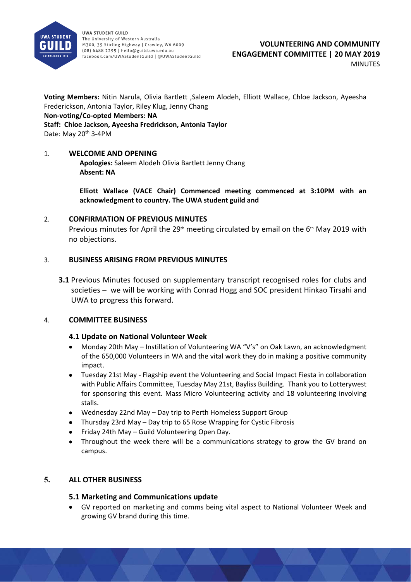

**Voting Members:** Nitin Narula, Olivia Bartlett ,Saleem Alodeh, Elliott Wallace, Chloe Jackson, Ayeesha Frederickson, Antonia Taylor, Riley Klug, Jenny Chang

#### **Non‐voting/Co‐opted Members: NA**

**Staff: Chloe Jackson, Ayeesha Fredrickson, Antonia Taylor** Date: May 20<sup>th</sup> 3-4PM

#### 1. **WELCOME AND OPENING**

**Apologies:** Saleem Alodeh Olivia Bartlett Jenny Chang **Absent: NA**

**Elliott Wallace (VACE Chair) Commenced meeting commenced at 3:10PM with an acknowledgment to country. The UWA student guild and** 

#### 2. **CONFIRMATION OF PREVIOUS MINUTES**

Previous minutes for April the  $29<sup>th</sup>$  meeting circulated by email on the 6<sup>th</sup> May 2019 with no objections.

#### 3. **BUSINESS ARISING FROM PREVIOUS MINUTES**

**3.1** Previous Minutes focused on supplementary transcript recognised roles for clubs and societies – we will be working with Conrad Hogg and SOC president Hinkao Tirsahi and UWA to progress this forward.

#### 4. **COMMITTEE BUSINESS**

#### **4.1 Update on National Volunteer Week**

- Monday 20th May Instillation of Volunteering WA "V's" on Oak Lawn, an acknowledgment of the 650,000 Volunteers in WA and the vital work they do in making a positive community impact.
- Tuesday 21st May ‐ Flagship event the Volunteering and Social Impact Fiesta in collaboration with Public Affairs Committee, Tuesday May 21st, Bayliss Building. Thank you to Lotterywest for sponsoring this event. Mass Micro Volunteering activity and 18 volunteering involving stalls.
- Wednesday 22nd May Day trip to Perth Homeless Support Group
- Thursday 23rd May Day trip to 65 Rose Wrapping for Cystic Fibrosis
- Friday 24th May Guild Volunteering Open Day.
- Throughout the week there will be a communications strategy to grow the GV brand on campus.

#### **5. ALL OTHER BUSINESS**

#### **5.1 Marketing and Communications update**

 GV reported on marketing and comms being vital aspect to National Volunteer Week and growing GV brand during this time.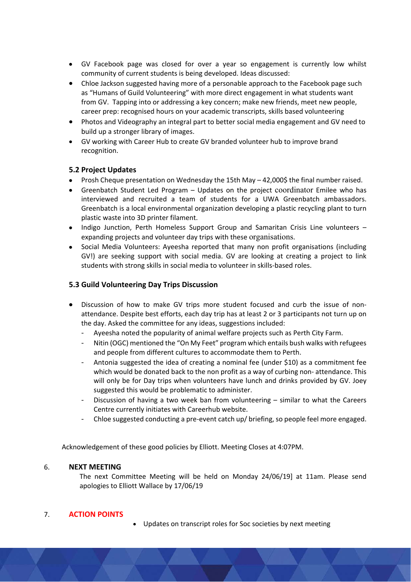- GV Facebook page was closed for over a year so engagement is currently low whilst community of current students is being developed. Ideas discussed:
- Chloe Jackson suggested having more of a personable approach to the Facebook page such as "Humans of Guild Volunteering" with more direct engagement in what students want from GV. Tapping into or addressing a key concern; make new friends, meet new people, career prep: recognised hours on your academic transcripts, skills based volunteering
- Photos and Videography an integral part to better social media engagement and GV need to build up a stronger library of images.
- GV working with Career Hub to create GV branded volunteer hub to improve brand recognition.

#### **5.2 Project Updates**

- Prosh Cheque presentation on Wednesday the 15th May 42,000\$ the final number raised.
- Greenbatch Student Led Program Updates on the project coordinator Emilee who has interviewed and recruited a team of students for a UWA Greenbatch ambassadors. Greenbatch is a local environmental organization developing a plastic recycling plant to turn plastic waste into 3D printer filament.
- Indigo Junction, Perth Homeless Support Group and Samaritan Crisis Line volunteers expanding projects and volunteer day trips with these organisations.
- Social Media Volunteers: Ayeesha reported that many non profit organisations (including GV!) are seeking support with social media. GV are looking at creating a project to link students with strong skills in social media to volunteer in skills‐based roles.

#### **5.3 Guild Volunteering Day Trips Discussion**

- Discussion of how to make GV trips more student focused and curb the issue of nonattendance. Despite best efforts, each day trip has at least 2 or 3 participants not turn up on the day. Asked the committee for any ideas, suggestions included:
	- ‐ Ayeesha noted the popularity of animal welfare projects such as Perth City Farm.
	- ‐ Nitin (OGC) mentioned the "On My Feet" program which entails bush walks with refugees and people from different cultures to accommodate them to Perth.
	- ‐ Antonia suggested the idea of creating a nominal fee (under \$10) as a commitment fee which would be donated back to the non profit as a way of curbing non-attendance. This will only be for Day trips when volunteers have lunch and drinks provided by GV. Joey suggested this would be problematic to administer.
	- Discussion of having a two week ban from volunteering similar to what the Careers Centre currently initiates with Careerhub website.
	- ‐ Chloe suggested conducting a pre‐event catch up/ briefing, so people feel more engaged.

Acknowledgement of these good policies by Elliott. Meeting Closes at 4:07PM.

#### 6. **NEXT MEETING**

The next Committee Meeting will be held on Monday 24/06/19] at 11am. Please send apologies to Elliott Wallace by 17/06/19

#### 7. **ACTION POINTS**

Updates on transcript roles for Soc societies by next meeting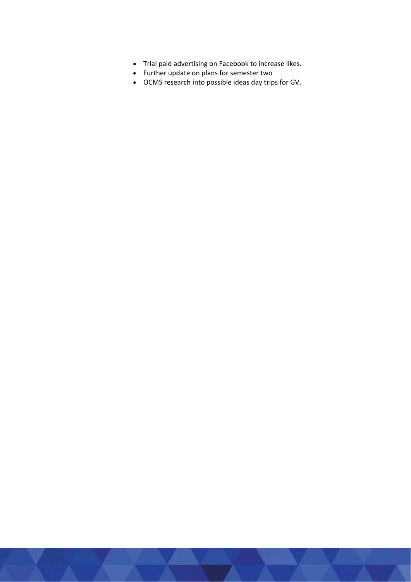- Trial paid advertising on Facebook to increase likes.
- Further update on plans for semester two
- OCMS research into possible ideas day trips for GV.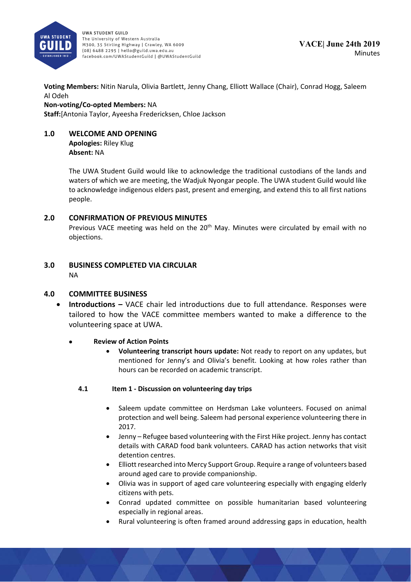

**Voting Members:** Nitin Narula, Olivia Bartlett, Jenny Chang, Elliott Wallace (Chair), Conrad Hogg, Saleem Al Odeh

**Non‐voting/Co‐opted Members:** NA **Staff:**[Antonia Taylor, Ayeesha Fredericksen, Chloe Jackson

#### **1.0 WELCOME AND OPENING**

**Apologies:** Riley Klug **Absent:** NA

The UWA Student Guild would like to acknowledge the traditional custodians of the lands and waters of which we are meeting, the Wadjuk Nyongar people. The UWA student Guild would like to acknowledge indigenous elders past, present and emerging, and extend this to all first nations people.

#### **2.0 CONFIRMATION OF PREVIOUS MINUTES**

Previous VACE meeting was held on the  $20<sup>th</sup>$  May. Minutes were circulated by email with no objections.

#### **3.0 BUSINESS COMPLETED VIA CIRCULAR**  NA

#### **4.0 COMMITTEE BUSINESS**

**Introductions – VACE** chair led introductions due to full attendance. Responses were tailored to how the VACE committee members wanted to make a difference to the volunteering space at UWA.

#### **Review of Action Points**

 **Volunteering transcript hours update:** Not ready to report on any updates, but mentioned for Jenny's and Olivia's benefit. Looking at how roles rather than hours can be recorded on academic transcript.

#### **4.1 Item 1 ‐ Discussion on volunteering day trips**

- Saleem update committee on Herdsman Lake volunteers. Focused on animal protection and well being. Saleem had personal experience volunteering there in 2017.
- Jenny Refugee based volunteering with the First Hike project. Jenny has contact details with CARAD food bank volunteers. CARAD has action networks that visit detention centres.
- Elliott researched into Mercy Support Group. Require a range of volunteers based around aged care to provide companionship.
- Olivia was in support of aged care volunteering especially with engaging elderly citizens with pets.
- Conrad updated committee on possible humanitarian based volunteering especially in regional areas.
- Rural volunteering is often framed around addressing gaps in education, health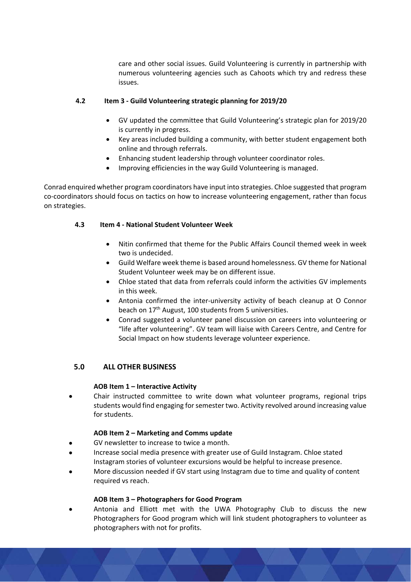care and other social issues. Guild Volunteering is currently in partnership with numerous volunteering agencies such as Cahoots which try and redress these issues.

#### **4.2 Item 3 ‐ Guild Volunteering strategic planning for 2019/20**

- GV updated the committee that Guild Volunteering's strategic plan for 2019/20 is currently in progress.
- Key areas included building a community, with better student engagement both online and through referrals.
- Enhancing student leadership through volunteer coordinator roles.
- Improving efficiencies in the way Guild Volunteering is managed.

Conrad enquired whether program coordinators have input into strategies. Chloe suggested that program co-coordinators should focus on tactics on how to increase volunteering engagement, rather than focus on strategies.

#### **4.3 Item 4 ‐ National Student Volunteer Week**

- Nitin confirmed that theme for the Public Affairs Council themed week in week two is undecided.
- Guild Welfare week theme is based around homelessness. GV theme for National Student Volunteer week may be on different issue.
- Chloe stated that data from referrals could inform the activities GV implements in this week.
- Antonia confirmed the inter-university activity of beach cleanup at O Connor beach on 17th August, 100 students from 5 universities.
- Conrad suggested a volunteer panel discussion on careers into volunteering or "life after volunteering". GV team will liaise with Careers Centre, and Centre for Social Impact on how students leverage volunteer experience.

#### **5.0 ALL OTHER BUSINESS**

#### **AOB Item 1 – Interactive Activity**

 Chair instructed committee to write down what volunteer programs, regional trips students would find engaging for semester two. Activity revolved around increasing value for students.

#### **AOB Item 2 – Marketing and Comms update**

- GV newsletter to increase to twice a month.
- Increase social media presence with greater use of Guild Instagram. Chloe stated Instagram stories of volunteer excursions would be helpful to increase presence.
- More discussion needed if GV start using Instagram due to time and quality of content required vs reach.

#### **AOB Item 3 – Photographers for Good Program**

 Antonia and Elliott met with the UWA Photography Club to discuss the new Photographers for Good program which will link student photographers to volunteer as photographers with not for profits.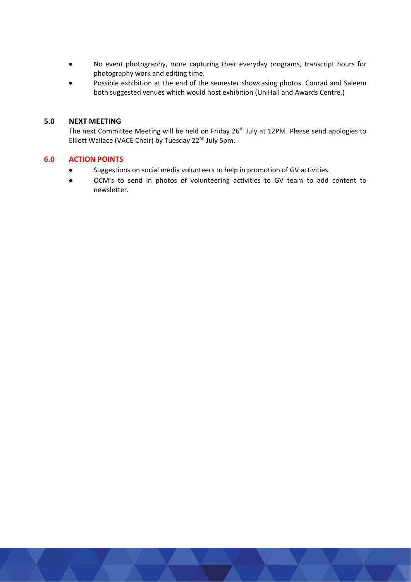- No event photography, more capturing their everyday programs, transcript hours for photography work and editing time.
- Possible exhibition at the end of the semester showcasing photos. Conrad and Saleem both suggested venues which would host exhibition (UniHall and Awards Centre.)

#### **5.0 NEXT MEETING**

The next Committee Meeting will be held on Friday 26<sup>th</sup> July at 12PM. Please send apologies to Elliott Wallace (VACE Chair) by Tuesday 22<sup>nd</sup> July 5pm.

#### **6.0 ACTION POINTS**

- Suggestions on social media volunteers to help in promotion of GV activities.
- OCM's to send in photos of volunteering activities to GV team to add content to newsletter.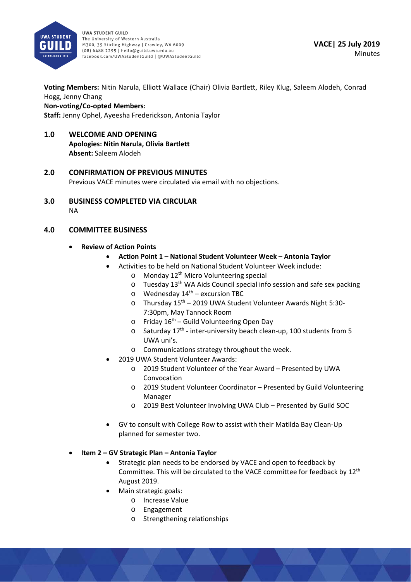

**Voting Members:** Nitin Narula, Elliott Wallace (Chair) Olivia Bartlett, Riley Klug, Saleem Alodeh, Conrad Hogg, Jenny Chang

**Non‐voting/Co‐opted Members:** 

**Staff:** Jenny Ophel, Ayeesha Frederickson, Antonia Taylor

**1.0 WELCOME AND OPENING Apologies: Nitin Narula, Olivia Bartlett**

**Absent:** Saleem Alodeh

### **2.0 CONFIRMATION OF PREVIOUS MINUTES**

Previous VACE minutes were circulated via email with no objections.

**3.0 BUSINESS COMPLETED VIA CIRCULAR**  NA

#### **4.0 COMMITTEE BUSINESS**

- **Review of Action Points** 
	- **Action Point 1 National Student Volunteer Week Antonia Taylor**
	- Activities to be held on National Student Volunteer Week include:
		- $\circ$  Monday 12<sup>th</sup> Micro Volunteering special
		- o Tuesday 13th WA Aids Council special info session and safe sex packing
		- $\circ$  Wednesday 14<sup>th</sup> excursion TBC
		- o Thursday 15th 2019 UWA Student Volunteer Awards Night 5:30‐ 7:30pm, May Tannock Room
		- $\circ$  Friday 16<sup>th</sup> Guild Volunteering Open Day
		- o Saturday 17th ‐ inter‐university beach clean‐up, 100 students from 5 UWA uni's.
		- o Communications strategy throughout the week.
	- 2019 UWA Student Volunteer Awards:
		- o 2019 Student Volunteer of the Year Award Presented by UWA Convocation
		- o 2019 Student Volunteer Coordinator Presented by Guild Volunteering Manager
		- o 2019 Best Volunteer Involving UWA Club Presented by Guild SOC
	- GV to consult with College Row to assist with their Matilda Bay Clean‐Up planned for semester two.

#### **Item 2 – GV Strategic Plan – Antonia Taylor**

- Strategic plan needs to be endorsed by VACE and open to feedback by Committee. This will be circulated to the VACE committee for feedback by 12th August 2019.
- Main strategic goals:
	- o Increase Value
	- o Engagement
	- o Strengthening relationships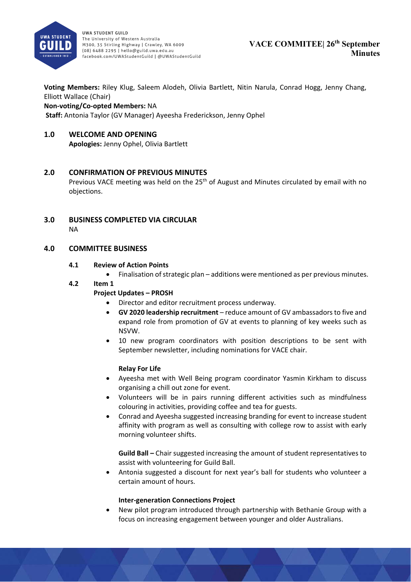

**Voting Members:** Riley Klug, Saleem Alodeh, Olivia Bartlett, Nitin Narula, Conrad Hogg, Jenny Chang, Elliott Wallace (Chair)

#### **Non‐voting/Co‐opted Members:** NA

 **Staff:** Antonia Taylor (GV Manager) Ayeesha Frederickson, Jenny Ophel

#### **1.0 WELCOME AND OPENING**

**Apologies:** Jenny Ophel, Olivia Bartlett

#### **2.0 CONFIRMATION OF PREVIOUS MINUTES**

Previous VACE meeting was held on the  $25<sup>th</sup>$  of August and Minutes circulated by email with no objections.

**3.0 BUSINESS COMPLETED VIA CIRCULAR** 

NA

#### **4.0 COMMITTEE BUSINESS**

#### **4.1 Review of Action Points**

- Finalisation of strategic plan additions were mentioned as per previous minutes.
- **4.2 Item 1**

#### **Project Updates – PROSH**

- Director and editor recruitment process underway.
- **GV 2020 leadership recruitment** reduce amount of GV ambassadors to five and expand role from promotion of GV at events to planning of key weeks such as NSVW.
- 10 new program coordinators with position descriptions to be sent with September newsletter, including nominations for VACE chair.

#### **Relay For Life**

- Ayeesha met with Well Being program coordinator Yasmin Kirkham to discuss organising a chill out zone for event.
- Volunteers will be in pairs running different activities such as mindfulness colouring in activities, providing coffee and tea for guests.
- Conrad and Ayeesha suggested increasing branding for event to increase student affinity with program as well as consulting with college row to assist with early morning volunteer shifts.

**Guild Ball –** Chair suggested increasing the amount of student representatives to assist with volunteering for Guild Ball.

 Antonia suggested a discount for next year's ball for students who volunteer a certain amount of hours.

#### **Inter‐generation Connections Project**

 New pilot program introduced through partnership with Bethanie Group with a focus on increasing engagement between younger and older Australians.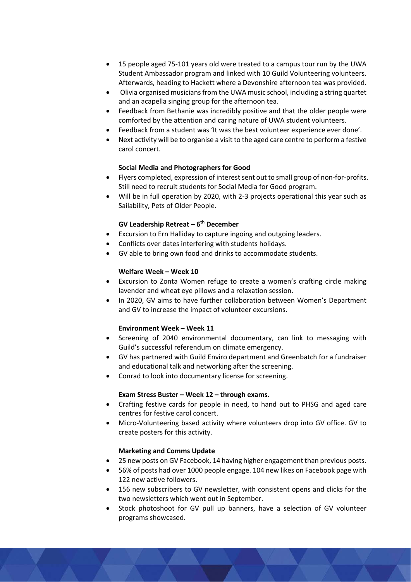- 15 people aged 75‐101 years old were treated to a campus tour run by the UWA Student Ambassador program and linked with 10 Guild Volunteering volunteers. Afterwards, heading to Hackett where a Devonshire afternoon tea was provided.
- Olivia organised musicians from the UWA music school, including a string quartet and an acapella singing group for the afternoon tea.
- Feedback from Bethanie was incredibly positive and that the older people were comforted by the attention and caring nature of UWA student volunteers.
- Feedback from a student was 'It was the best volunteer experience ever done'.
- Next activity will be to organise a visit to the aged care centre to perform a festive carol concert.

#### **Social Media and Photographers for Good**

- Flyers completed, expression of interest sent out to small group of non‐for‐profits. Still need to recruit students for Social Media for Good program.
- Will be in full operation by 2020, with 2‐3 projects operational this year such as Sailability, Pets of Older People.

#### **GV Leadership Retreat – 6th December**

- Excursion to Ern Halliday to capture ingoing and outgoing leaders.
- Conflicts over dates interfering with students holidays.
- GV able to bring own food and drinks to accommodate students.

#### **Welfare Week – Week 10**

- Excursion to Zonta Women refuge to create a women's crafting circle making lavender and wheat eye pillows and a relaxation session.
- In 2020, GV aims to have further collaboration between Women's Department and GV to increase the impact of volunteer excursions.

#### **Environment Week – Week 11**

- Screening of 2040 environmental documentary, can link to messaging with Guild's successful referendum on climate emergency.
- GV has partnered with Guild Enviro department and Greenbatch for a fundraiser and educational talk and networking after the screening.
- Conrad to look into documentary license for screening.

#### **Exam Stress Buster – Week 12 – through exams.**

- Crafting festive cards for people in need, to hand out to PHSG and aged care centres for festive carol concert.
- Micro-Volunteering based activity where volunteers drop into GV office. GV to create posters for this activity.

#### **Marketing and Comms Update**

- 25 new posts on GV Facebook, 14 having higher engagement than previous posts.
- 56% of posts had over 1000 people engage. 104 new likes on Facebook page with 122 new active followers.
- 156 new subscribers to GV newsletter, with consistent opens and clicks for the two newsletters which went out in September.
- Stock photoshoot for GV pull up banners, have a selection of GV volunteer programs showcased.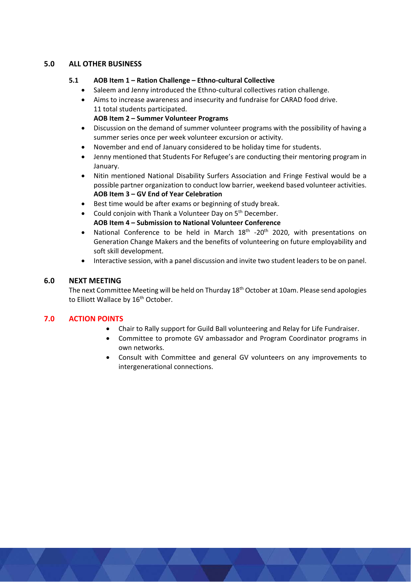#### **5.0 ALL OTHER BUSINESS**

#### **5.1 AOB Item 1 – Ration Challenge – Ethno‐cultural Collective**

- Saleem and Jenny introduced the Ethno-cultural collectives ration challenge.
- Aims to increase awareness and insecurity and fundraise for CARAD food drive. 11 total students participated.

#### **AOB Item 2 – Summer Volunteer Programs**

- Discussion on the demand of summer volunteer programs with the possibility of having a summer series once per week volunteer excursion or activity.
- November and end of January considered to be holiday time for students.
- Jenny mentioned that Students For Refugee's are conducting their mentoring program in January.
- Nitin mentioned National Disability Surfers Association and Fringe Festival would be a possible partner organization to conduct low barrier, weekend based volunteer activities. **AOB Item 3 – GV End of Year Celebration**
- Best time would be after exams or beginning of study break.
- Could conjoin with Thank a Volunteer Day on  $5<sup>th</sup>$  December. **AOB Item 4 – Submission to National Volunteer Conference**
- National Conference to be held in March  $18<sup>th</sup>$  -20<sup>th</sup> 2020, with presentations on Generation Change Makers and the benefits of volunteering on future employability and soft skill development.
- Interactive session, with a panel discussion and invite two student leaders to be on panel.

#### **6.0 NEXT MEETING**

The next Committee Meeting will be held on Thurday 18th October at 10am. Please send apologies to Elliott Wallace by 16<sup>th</sup> October.

#### **7.0 ACTION POINTS**

- Chair to Rally support for Guild Ball volunteering and Relay for Life Fundraiser.
- Committee to promote GV ambassador and Program Coordinator programs in own networks.
- Consult with Committee and general GV volunteers on any improvements to intergenerational connections.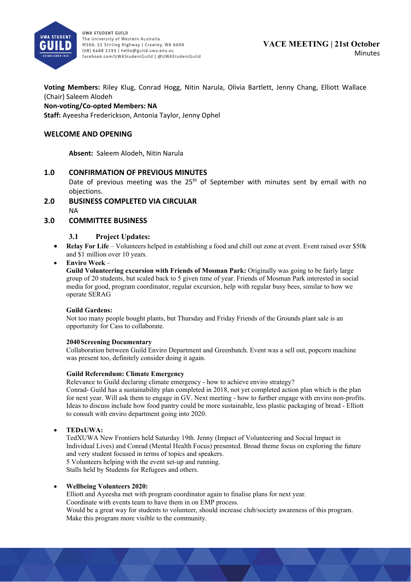

**Voting Members:**  Riley Klug, Conrad Hogg, Nitin Narula, Olivia Bartlett, Jenny Chang, Elliott Wallace (Chair) Saleem Alodeh

#### **Non‐voting/Co‐opted Members: NA**

**Staff:** Ayeesha Frederickson, Antonia Taylor, Jenny Ophel

#### **WELCOME AND OPENING**

**Absent:**  Saleem Alodeh, Nitin Narula

#### **1.0 CONFIRMATION OF PREVIOUS MINUTES**

Date of previous meeting was the 25<sup>th</sup> of September with minutes sent by email with no objections.

**2.0 BUSINESS COMPLETED VIA CIRCULAR**  NA

## **3.0 COMMITTEE BUSINESS**

#### **3.1 Project Updates:**

 **Relay For Life** – Volunteers helped in establishing a food and chill out zone at event. Event raised over \$50k and \$1 million over 10 years.

#### **Enviro Week** –

**Guild Volunteering excursion with Friends of Mosman Park:** Originally was going to be fairly large group of 20 students, but scaled back to 5 given time of year. Friends of Mosman Park interested in social media for good, program coordinator, regular excursion, help with regular busy bees, similar to how we operate SERAG

#### **Guild Gardens:**

Not too many people bought plants, but Thursday and Friday Friends of the Grounds plant sale is an opportunity for Cass to collaborate.

#### **2040Screening Documentary**

Collaboration between Guild Enviro Department and Greenbatch. Event was a sell out, popcorn machine was present too, definitely consider doing it again.

#### **Guild Referendum: Climate Emergency**

Relevance to Guild declaring climate emergency - how to achieve enviro strategy?

Conrad- Guild has a sustainability plan completed in 2018, not yet completed action plan which is the plan for next year. Will ask them to engage in GV. Next meeting - how to further engage with enviro non-profits. Ideas to discuss include how food pantry could be more sustainable, less plastic packaging of bread - Elliott to consult with enviro department going into 2020.

#### **TEDxUWA:**

TedXUWA New Frontiers held Saturday 19th. Jenny (Impact of Volunteering and Social Impact in Individual Lives) and Conrad (Mental Health Focus) presented. Broad theme focus on exploring the future and very student focused in terms of topics and speakers. 5 Volunteers helping with the event set-up and running.

Stalls held by Students for Refugees and others.

#### **Wellbeing Volunteers 2020:**

Elliott and Ayeesha met with program coordinator again to finalise plans for next year. Coordinate with events team to have them in on EMP process. Would be a great way for students to volunteer, should increase club/society awareness of this program. Make this program more visible to the community.